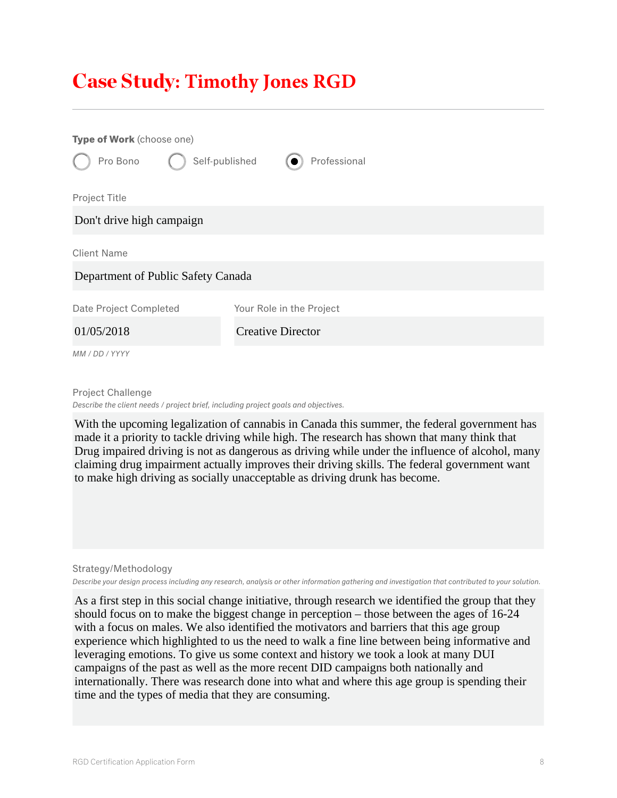## Case Study**: Timothy Jones RGD**

| Type of Work (choose one)          |                          |
|------------------------------------|--------------------------|
| Self-published<br>Pro Bono         | Professional             |
| Project Title                      |                          |
| Don't drive high campaign          |                          |
| <b>Client Name</b>                 |                          |
| Department of Public Safety Canada |                          |
| Date Project Completed             | Your Role in the Project |
| 01/05/2018                         | <b>Creative Director</b> |
| MM / DD / YYYY                     |                          |

Project Challenge *Describe the client needs / project brief, including project goals and objectives.*

With the upcoming legalization of cannabis in Canada this summer, the federal government has made it a priority to tackle driving while high. The research has shown that many think that Drug impaired driving is not as dangerous as driving while under the influence of alcohol, many claiming drug impairment actually improves their driving skills. The federal government want to make high driving as socially unacceptable as driving drunk has become.

Strategy/Methodology

*Describe your design process including any research, analysis or other information gathering and investigation that contributed to your solution.*

As a first step in this social change initiative, through research we identified the group that they should focus on to make the biggest change in perception – those between the ages of 16-24 with a focus on males. We also identified the motivators and barriers that this age group experience which highlighted to us the need to walk a fine line between being informative and leveraging emotions. To give us some context and history we took a look at many DUI campaigns of the past as well as the more recent DID campaigns both nationally and internationally. There was research done into what and where this age group is spending their time and the types of media that they are consuming.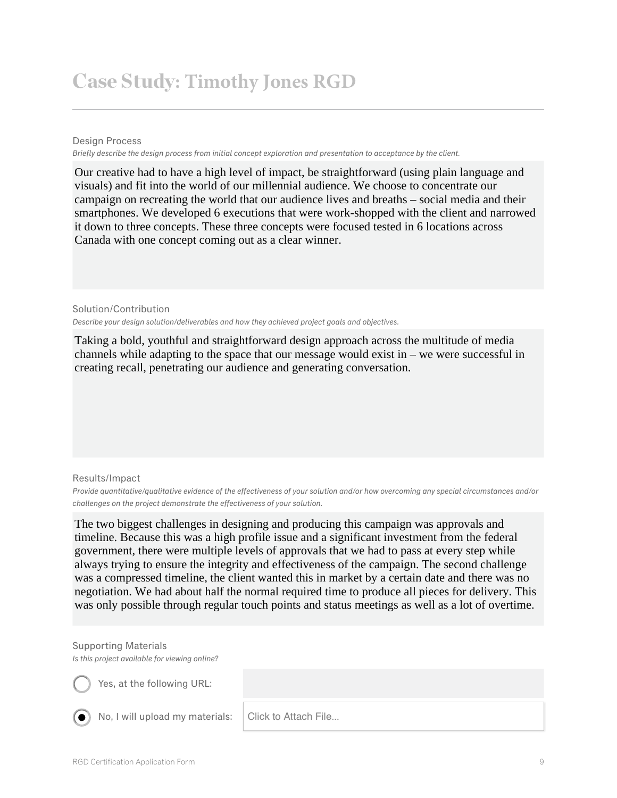## Case Study**: Timothy Jones RGD**

Design Process

*Briefly describe the design process from initial concept exploration and presentation to acceptance by the client.*

Our creative had to have a high level of impact, be straightforward (using plain language and visuals) and fit into the world of our millennial audience. We choose to concentrate our campaign on recreating the world that our audience lives and breaths – social media and their smartphones. We developed 6 executions that were work-shopped with the client and narrowed it down to three concepts. These three concepts were focused tested in 6 locations across Canada with one concept coming out as a clear winner.

Solution/Contribution *Describe your design solution/deliverables and how they achieved project goals and objectives.*

Taking a bold, youthful and straightforward design approach across the multitude of media channels while adapting to the space that our message would exist in – we were successful in creating recall, penetrating our audience and generating conversation.

Results/Impact

*Provide quantitative/qualitative evidence of the effectiveness of your solution and/or how overcoming any special circumstances and/or challenges on the project demonstrate the effectiveness of your solution.*

The two biggest challenges in designing and producing this campaign was approvals and timeline. Because this was a high profile issue and a significant investment from the federal government, there were multiple levels of approvals that we had to pass at every step while always trying to ensure the integrity and effectiveness of the campaign. The second challenge was a compressed timeline, the client wanted this in market by a certain date and there was no negotiation. We had about half the normal required time to produce all pieces for delivery. This was only possible through regular touch points and status meetings as well as a lot of overtime.

## Supporting Materials and times of the signal signals are changed and times in the signal signal signal signals

Is this project available for viewing online?

 $\bigcup$  Yes, at the following URL:  $\bigcup$  Yes, at the tollowing URL:  $\overline{\phantom{a}}$  and social tactics generally methods generally methods generally methods generally methods generally methods generally methods generally methods generally methods generally methods generally methods generally

No, I will upload my materials:

from Nov 2017 to Jan 2017 to Jan 2017 to Jan 2017 to Jan 2017 to Jan 2017 to Jan 2017 to Jan 2017 to Jan 2018<br>The San 2018 was 31.7 million. The San 2018 was 31.7 million. The San 2017 to Jan 2018 was 31.7 million. The S

Click to Attach File...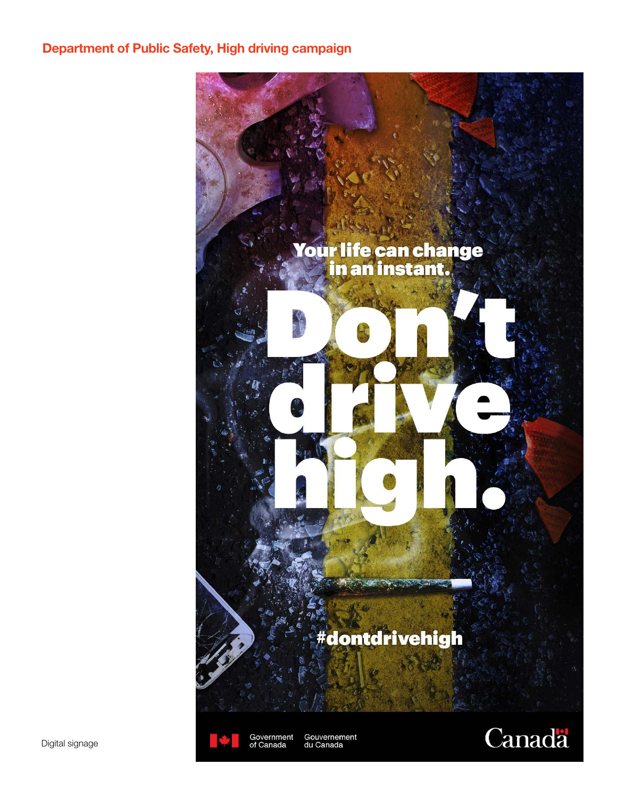## Department of Public Safety, High driving campaign





Gouvernement<br>du Canada

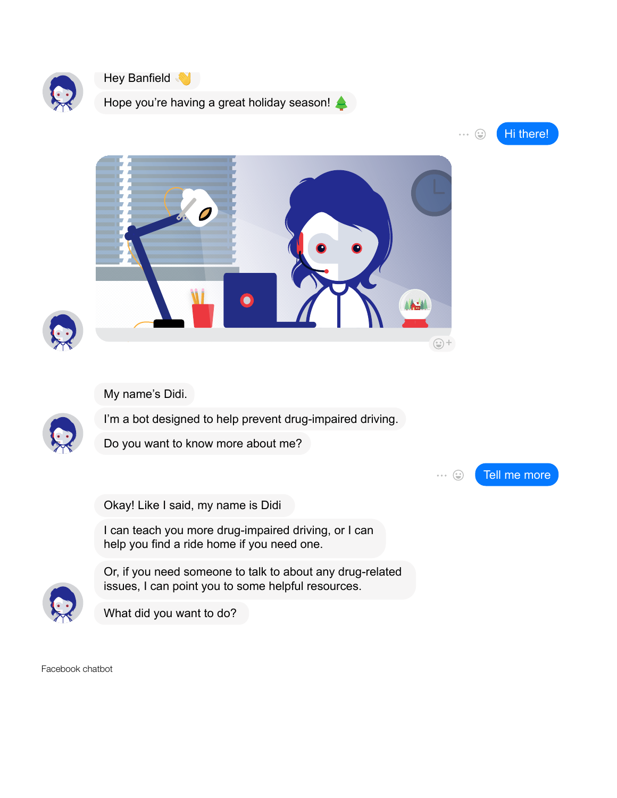



Hope you're having a great holiday season!





My name's Didi.



I'm a bot designed to help prevent drug-impaired driving.

Do you want to know more about me?

Tell me more  $\cdots \quad \circledcirc$ 

Okay! Like I said, my name is Didi

I can teach you more drug-impaired driving, or I can help you find a ride home if you need one.



Or, if you need someone to talk to about any drug-related issues, I can point you to some helpful resources.



Facebook chatbot